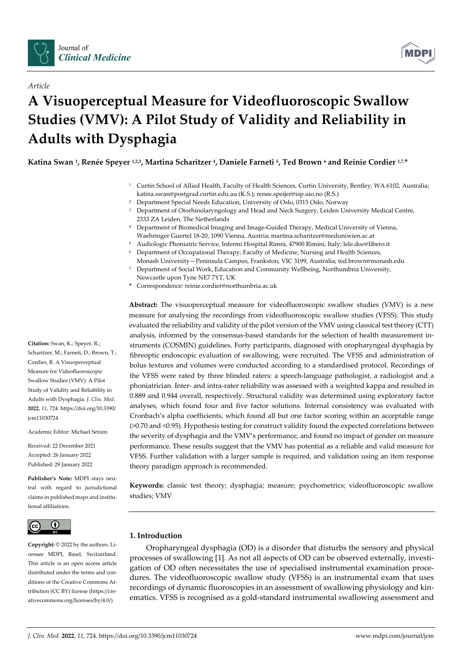

*Article* 



# **A Visuoperceptual Measure for Videofluoroscopic Swallow Studies (VMV): A Pilot Study of Validity and Reliability in Adults with Dysphagia**

**Katina Swan 1, Renée Speyer 1,2,3, Martina Scharitzer 4, Daniele Farneti 5, Ted Brown 6 and Reinie Cordier 1,7,\*** 

- <sup>1</sup> Curtin School of Allied Health, Faculty of Health Sciences, Curtin University, Bentley, WA 6102, Australia; katina.swan@postgrad.curtin.edu.au (K.S.); renee.speijer@isp.uio.no (R.S.)
- 2 Department Special Needs Education, University of Oslo, 0315 Oslo, Norway
- <sup>3</sup> Department of Otorhinolaryngology and Head and Neck Surgery, Leiden University Medical Centre, 2333 ZA Leiden, The Netherlands
- 4 Department of Biomedical Imaging and Image-Guided Therapy, Medical University of Vienna, Waehringer Guertel 18-20, 1090 Vienna, Austria; martina.scharitzer@meduniwien.ac.at
- 5 Audiologic Phoniatric Service, Infermi Hospital Rimni, 47900 Rimini, Italy; lele.doc@libero.it
- 6 Department of Occupational Therapy, Faculty of Medicine, Nursing and Health Sciences,
- Monash University—Peninsula Campus, Frankston, VIC 3199, Australia; ted.brown@monash.edu 7 Department of Social Work, Education and Community Wellbeing, Northumbria University,
- Newcastle upon Tyne NE7 7YT, UK **\*** Correspondence: reinie.cordier@northumbria.ac.uk

**Abstract:** The visuoperceptual measure for videofluoroscopic swallow studies (VMV) is a new measure for analysing the recordings from videofluoroscopic swallow studies (VFSS). This study evaluated the reliability and validity of the pilot version of the VMV using classical test theory (CTT) analysis, informed by the consensus-based standards for the selection of health measurement instruments (COSMIN) guidelines. Forty participants, diagnosed with oropharyngeal dysphagia by fibreoptic endoscopic evaluation of swallowing, were recruited. The VFSS and administration of bolus textures and volumes were conducted according to a standardised protocol. Recordings of the VFSS were rated by three blinded raters: a speech-language pathologist, a radiologist and a phoniatrician. Inter- and intra-rater reliability was assessed with a weighted kappa and resulted in 0.889 and 0.944 overall, respectively. Structural validity was determined using exploratory factor analyses, which found four and five factor solutions. Internal consistency was evaluated with Cronbach's alpha coefficients, which found all but one factor scoring within an acceptable range (>0.70 and <0.95). Hypothesis testing for construct validity found the expected correlations between the severity of dysphagia and the VMV's performance, and found no impact of gender on measure performance. These results suggest that the VMV has potential as a reliable and valid measure for VFSS. Further validation with a larger sample is required, and validation using an item response theory paradigm approach is recommended.

**Keywords:** classic test theory; dysphagia; measure; psychometrics; videofluoroscopic swallow studies; VMV

## **1. Introduction**

Oropharyngeal dysphagia (OD) is a disorder that disturbs the sensory and physical processes of swallowing [1]. As not all aspects of OD can be observed externally, investigation of OD often necessitates the use of specialised instrumental examination procedures. The videofluoroscopic swallow study (VFSS) is an instrumental exam that uses recordings of dynamic fluoroscopies in an assessment of swallowing physiology and kinematics. VFSS is recognised as a gold-standard instrumental swallowing assessment and

**Citation:** Swan, K.; Speyer, R.; Scharitzer, M.; Farneti, D.; Brown, T.; Cordier, R. A Visuoperceptual Measure for Videofluoroscopic Swallow Studies (VMV): A Pilot Study of Validity and Reliability in Adults with Dysphagia. *J. Clin. Med.*  **2022**, *11*, 724. https://doi.org/10.3390/ jcm11030724

Academic Editor: Michael Setzen

Received: 22 December 2021 Accepted: 26 January 2022 Published: 29 January 2022

**Publisher's Note:** MDPI stays neutral with regard to jurisdictional claims in published maps and institutional affiliations.



**Copyright:** © 2022 by the authors. Licensee MDPI, Basel, Switzerland. This article is an open access article distributed under the terms and conditions of the Creative Commons Attribution (CC BY) license (https://creativecommons.org/licenses/by/4.0/).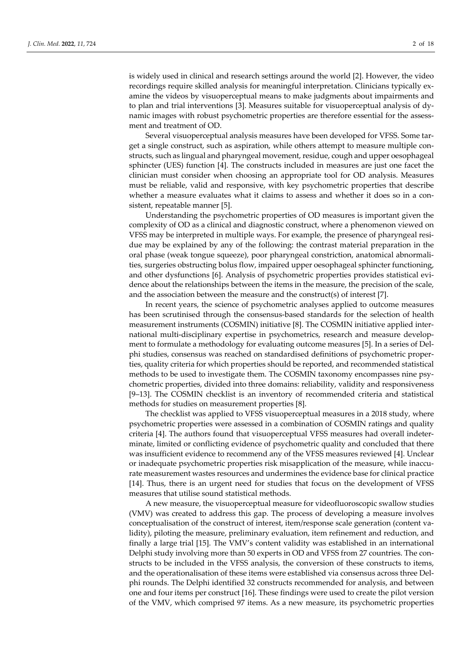is widely used in clinical and research settings around the world [2]. However, the video recordings require skilled analysis for meaningful interpretation. Clinicians typically examine the videos by visuoperceptual means to make judgments about impairments and to plan and trial interventions [3]. Measures suitable for visuoperceptual analysis of dynamic images with robust psychometric properties are therefore essential for the assessment and treatment of OD.

Several visuoperceptual analysis measures have been developed for VFSS. Some target a single construct, such as aspiration, while others attempt to measure multiple constructs, such as lingual and pharyngeal movement, residue, cough and upper oesophageal sphincter (UES) function [4]. The constructs included in measures are just one facet the clinician must consider when choosing an appropriate tool for OD analysis. Measures must be reliable, valid and responsive, with key psychometric properties that describe whether a measure evaluates what it claims to assess and whether it does so in a consistent, repeatable manner [5].

Understanding the psychometric properties of OD measures is important given the complexity of OD as a clinical and diagnostic construct, where a phenomenon viewed on VFSS may be interpreted in multiple ways. For example, the presence of pharyngeal residue may be explained by any of the following: the contrast material preparation in the oral phase (weak tongue squeeze), poor pharyngeal constriction, anatomical abnormalities, surgeries obstructing bolus flow, impaired upper oesophageal sphincter functioning, and other dysfunctions [6]. Analysis of psychometric properties provides statistical evidence about the relationships between the items in the measure, the precision of the scale, and the association between the measure and the construct(s) of interest [7].

In recent years, the science of psychometric analyses applied to outcome measures has been scrutinised through the consensus-based standards for the selection of health measurement instruments (COSMIN) initiative [8]. The COSMIN initiative applied international multi-disciplinary expertise in psychometrics, research and measure development to formulate a methodology for evaluating outcome measures [5]. In a series of Delphi studies, consensus was reached on standardised definitions of psychometric properties, quality criteria for which properties should be reported, and recommended statistical methods to be used to investigate them. The COSMIN taxonomy encompasses nine psychometric properties, divided into three domains: reliability, validity and responsiveness [9–13]. The COSMIN checklist is an inventory of recommended criteria and statistical methods for studies on measurement properties [8].

The checklist was applied to VFSS visuoperceptual measures in a 2018 study, where psychometric properties were assessed in a combination of COSMIN ratings and quality criteria [4]. The authors found that visuoperceptual VFSS measures had overall indeterminate, limited or conflicting evidence of psychometric quality and concluded that there was insufficient evidence to recommend any of the VFSS measures reviewed [4]. Unclear or inadequate psychometric properties risk misapplication of the measure, while inaccurate measurement wastes resources and undermines the evidence base for clinical practice [14]. Thus, there is an urgent need for studies that focus on the development of VFSS measures that utilise sound statistical methods.

A new measure, the visuoperceptual measure for videofluoroscopic swallow studies (VMV) was created to address this gap. The process of developing a measure involves conceptualisation of the construct of interest, item/response scale generation (content validity), piloting the measure, preliminary evaluation, item refinement and reduction, and finally a large trial [15]. The VMV's content validity was established in an international Delphi study involving more than 50 experts in OD and VFSS from 27 countries. The constructs to be included in the VFSS analysis, the conversion of these constructs to items, and the operationalisation of these items were established via consensus across three Delphi rounds. The Delphi identified 32 constructs recommended for analysis, and between one and four items per construct [16]. These findings were used to create the pilot version of the VMV, which comprised 97 items. As a new measure, its psychometric properties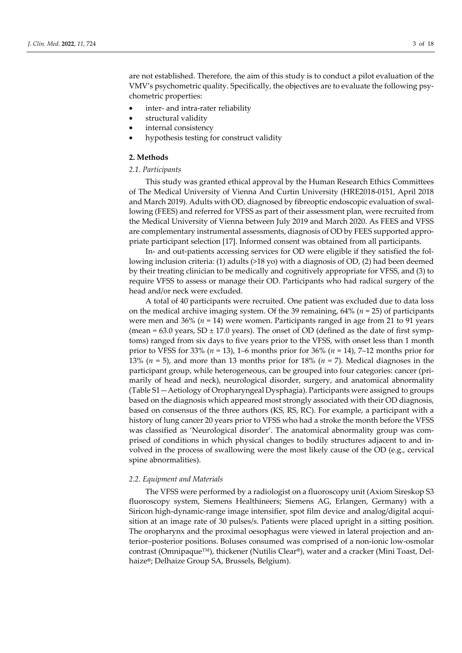are not established. Therefore, the aim of this study is to conduct a pilot evaluation of the VMV's psychometric quality. Specifically, the objectives are to evaluate the following psychometric properties:

- inter- and intra-rater reliability
- structural validity
- internal consistency
- hypothesis testing for construct validity

#### **2. Methods**

# *2.1. Participants*

This study was granted ethical approval by the Human Research Ethics Committees of The Medical University of Vienna And Curtin University (HRE2018-0151, April 2018 and March 2019). Adults with OD, diagnosed by fibreoptic endoscopic evaluation of swallowing (FEES) and referred for VFSS as part of their assessment plan, were recruited from the Medical University of Vienna between July 2019 and March 2020. As FEES and VFSS are complementary instrumental assessments, diagnosis of OD by FEES supported appropriate participant selection [17]. Informed consent was obtained from all participants.

In- and out-patients accessing services for OD were eligible if they satisfied the following inclusion criteria: (1) adults (>18 yo) with a diagnosis of OD, (2) had been deemed by their treating clinician to be medically and cognitively appropriate for VFSS, and (3) to require VFSS to assess or manage their OD. Participants who had radical surgery of the head and/or neck were excluded.

A total of 40 participants were recruited. One patient was excluded due to data loss on the medical archive imaging system. Of the 39 remaining, 64% (*n* = 25) of participants were men and 36% (*n* = 14) were women. Participants ranged in age from 21 to 91 years (mean =  $63.0$  years, SD  $\pm$  17.0 years). The onset of OD (defined as the date of first symptoms) ranged from six days to five years prior to the VFSS, with onset less than 1 month prior to VFSS for 33% (*n* = 13), 1–6 months prior for 36% (*n* = 14), 7–12 months prior for 13% (*n* = 5), and more than 13 months prior for 18% (*n* = 7). Medical diagnoses in the participant group, while heterogeneous, can be grouped into four categories: cancer (primarily of head and neck), neurological disorder, surgery, and anatomical abnormality (Table S1—Aetiology of Oropharyngeal Dysphagia). Participants were assigned to groups based on the diagnosis which appeared most strongly associated with their OD diagnosis, based on consensus of the three authors (KS, RS, RC). For example, a participant with a history of lung cancer 20 years prior to VFSS who had a stroke the month before the VFSS was classified as 'Neurological disorder'. The anatomical abnormality group was comprised of conditions in which physical changes to bodily structures adjacent to and involved in the process of swallowing were the most likely cause of the OD (e.g., cervical spine abnormalities).

#### *2.2. Equipment and Materials*

The VFSS were performed by a radiologist on a fluoroscopy unit (Axiom Sireskop S3 fluoroscopy system, Siemens Healthineers; Siemens AG, Erlangen, Germany) with a Siricon high-dynamic-range image intensifier, spot film device and analog/digital acquisition at an image rate of 30 pulses/s. Patients were placed upright in a sitting position. The oropharynx and the proximal oesophagus were viewed in lateral projection and anterior–posterior positions. Boluses consumed was comprised of a non-ionic low-osmolar contrast (Omnipaque™), thickener (Nutilis Clear**®**), water and a cracker (Mini Toast, Delhaize**®**; Delhaize Group SA, Brussels, Belgium).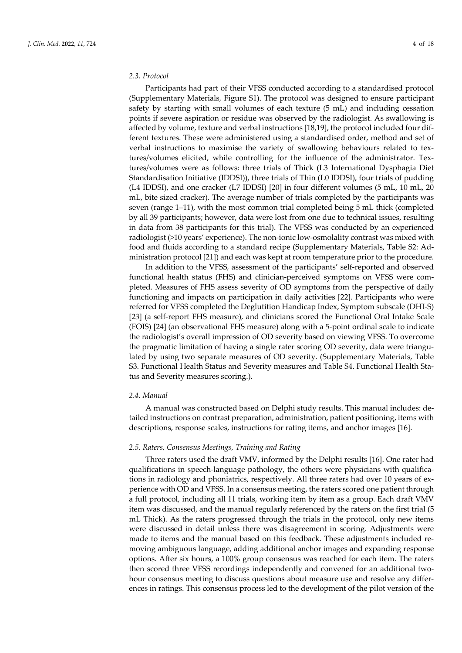## *2.3. Protocol*

Participants had part of their VFSS conducted according to a standardised protocol (Supplementary Materials, Figure S1). The protocol was designed to ensure participant safety by starting with small volumes of each texture (5 mL) and including cessation points if severe aspiration or residue was observed by the radiologist. As swallowing is affected by volume, texture and verbal instructions [18,19], the protocol included four different textures. These were administered using a standardised order, method and set of verbal instructions to maximise the variety of swallowing behaviours related to textures/volumes elicited, while controlling for the influence of the administrator. Textures/volumes were as follows: three trials of Thick (L3 International Dysphagia Diet Standardisation Initiative (IDDSI)), three trials of Thin (L0 IDDSI), four trials of pudding (L4 IDDSI), and one cracker (L7 IDDSI) [20] in four different volumes (5 mL, 10 mL, 20 mL, bite sized cracker). The average number of trials completed by the participants was seven (range 1–11), with the most common trial completed being 5 mL thick (completed by all 39 participants; however, data were lost from one due to technical issues, resulting in data from 38 participants for this trial). The VFSS was conducted by an experienced radiologist (>10 years' experience). The non-ionic low-osmolality contrast was mixed with food and fluids according to a standard recipe (Supplementary Materials, Table S2: Administration protocol [21]) and each was kept at room temperature prior to the procedure.

In addition to the VFSS, assessment of the participants' self-reported and observed functional health status (FHS) and clinician-perceived symptoms on VFSS were completed. Measures of FHS assess severity of OD symptoms from the perspective of daily functioning and impacts on participation in daily activities [22]. Participants who were referred for VFSS completed the Deglutition Handicap Index, Symptom subscale (DHI-S) [23] (a self-report FHS measure), and clinicians scored the Functional Oral Intake Scale (FOIS) [24] (an observational FHS measure) along with a 5-point ordinal scale to indicate the radiologist's overall impression of OD severity based on viewing VFSS. To overcome the pragmatic limitation of having a single rater scoring OD severity, data were triangulated by using two separate measures of OD severity. (Supplementary Materials, Table S3. Functional Health Status and Severity measures and Table S4. Functional Health Status and Severity measures scoring.).

# *2.4. Manual*

A manual was constructed based on Delphi study results. This manual includes: detailed instructions on contrast preparation, administration, patient positioning, items with descriptions, response scales, instructions for rating items, and anchor images [16].

#### *2.5. Raters, Consensus Meetings, Training and Rating*

Three raters used the draft VMV, informed by the Delphi results [16]. One rater had qualifications in speech-language pathology, the others were physicians with qualifications in radiology and phoniatrics, respectively. All three raters had over 10 years of experience with OD and VFSS. In a consensus meeting, the raters scored one patient through a full protocol, including all 11 trials, working item by item as a group. Each draft VMV item was discussed, and the manual regularly referenced by the raters on the first trial (5 mL Thick). As the raters progressed through the trials in the protocol, only new items were discussed in detail unless there was disagreement in scoring. Adjustments were made to items and the manual based on this feedback. These adjustments included removing ambiguous language, adding additional anchor images and expanding response options. After six hours, a 100% group consensus was reached for each item. The raters then scored three VFSS recordings independently and convened for an additional twohour consensus meeting to discuss questions about measure use and resolve any differences in ratings. This consensus process led to the development of the pilot version of the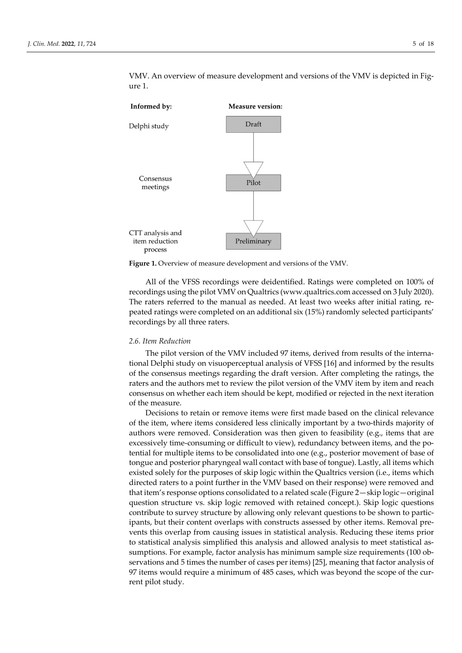

VMV. An overview of measure development and versions of the VMV is depicted in Figure 1.

Figure 1. Overview of measure development and versions of the VMV.

All of the VFSS recordings were deidentified. Ratings were completed on 100% of recordings using the pilot VMV on Qualtrics (www.qualtrics.com accessed on 3 July 2020). The raters referred to the manual as needed. At least two weeks after initial rating, repeated ratings were completed on an additional six (15%) randomly selected participants' recordings by all three raters.

#### *2.6. Item Reduction*

The pilot version of the VMV included 97 items, derived from results of the international Delphi study on visuoperceptual analysis of VFSS [16] and informed by the results of the consensus meetings regarding the draft version. After completing the ratings, the raters and the authors met to review the pilot version of the VMV item by item and reach consensus on whether each item should be kept, modified or rejected in the next iteration of the measure.

Decisions to retain or remove items were first made based on the clinical relevance of the item, where items considered less clinically important by a two-thirds majority of authors were removed. Consideration was then given to feasibility (e.g., items that are excessively time-consuming or difficult to view), redundancy between items, and the potential for multiple items to be consolidated into one (e.g., posterior movement of base of tongue and posterior pharyngeal wall contact with base of tongue). Lastly, all items which existed solely for the purposes of skip logic within the Qualtrics version (i.e., items which directed raters to a point further in the VMV based on their response) were removed and that item's response options consolidated to a related scale (Figure 2—skip logic—original question structure vs. skip logic removed with retained concept.). Skip logic questions contribute to survey structure by allowing only relevant questions to be shown to participants, but their content overlaps with constructs assessed by other items. Removal prevents this overlap from causing issues in statistical analysis. Reducing these items prior to statistical analysis simplified this analysis and allowed analysis to meet statistical assumptions. For example, factor analysis has minimum sample size requirements (100 observations and 5 times the number of cases per items) [25], meaning that factor analysis of 97 items would require a minimum of 485 cases, which was beyond the scope of the current pilot study.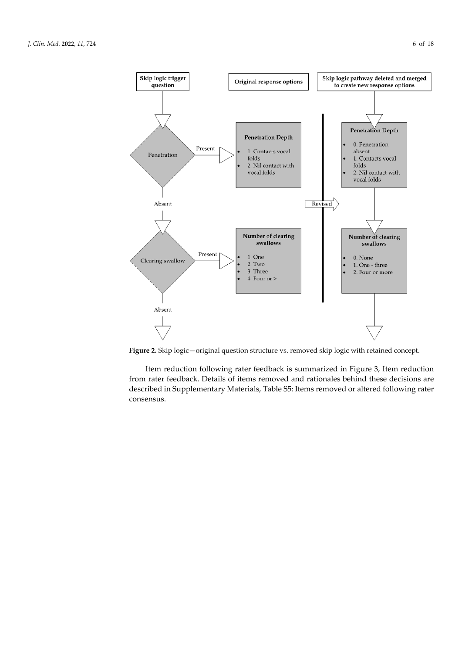

**Figure 2.** Skip logic—original question structure vs. removed skip logic with retained concept.

Item reduction following rater feedback is summarized in Figure 3, Item reduction from rater feedback. Details of items removed and rationales behind these decisions are described in Supplementary Materials, Table S5: Items removed or altered following rater consensus.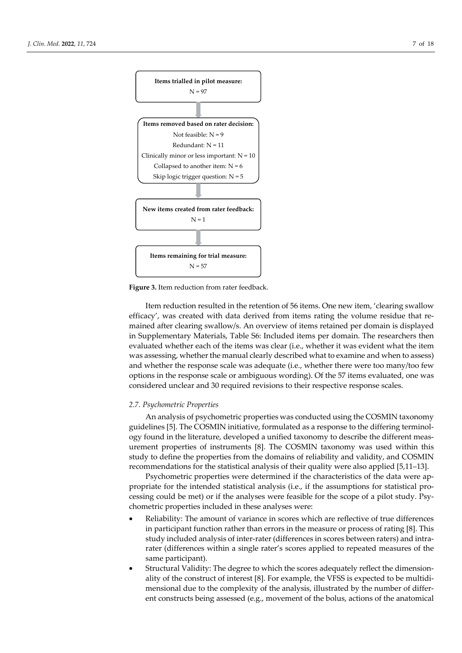

**Figure 3.** Item reduction from rater feedback.

Item reduction resulted in the retention of 56 items. One new item, 'clearing swallow efficacy', was created with data derived from items rating the volume residue that remained after clearing swallow/s. An overview of items retained per domain is displayed in Supplementary Materials, Table S6: Included items per domain. The researchers then evaluated whether each of the items was clear (i.e., whether it was evident what the item was assessing, whether the manual clearly described what to examine and when to assess) and whether the response scale was adequate (i.e., whether there were too many/too few options in the response scale or ambiguous wording). Of the 57 items evaluated, one was considered unclear and 30 required revisions to their respective response scales.

#### *2.7. Psychometric Properties*

An analysis of psychometric properties was conducted using the COSMIN taxonomy guidelines [5]. The COSMIN initiative, formulated as a response to the differing terminology found in the literature, developed a unified taxonomy to describe the different measurement properties of instruments [8]. The COSMIN taxonomy was used within this study to define the properties from the domains of reliability and validity, and COSMIN recommendations for the statistical analysis of their quality were also applied [5,11–13].

Psychometric properties were determined if the characteristics of the data were appropriate for the intended statistical analysis (i.e., if the assumptions for statistical processing could be met) or if the analyses were feasible for the scope of a pilot study. Psychometric properties included in these analyses were:

- Reliability: The amount of variance in scores which are reflective of true differences in participant function rather than errors in the measure or process of rating [8]. This study included analysis of inter-rater (differences in scores between raters) and intrarater (differences within a single rater's scores applied to repeated measures of the same participant).
- Structural Validity: The degree to which the scores adequately reflect the dimensionality of the construct of interest [8]. For example, the VFSS is expected to be multidimensional due to the complexity of the analysis, illustrated by the number of different constructs being assessed (e.g., movement of the bolus, actions of the anatomical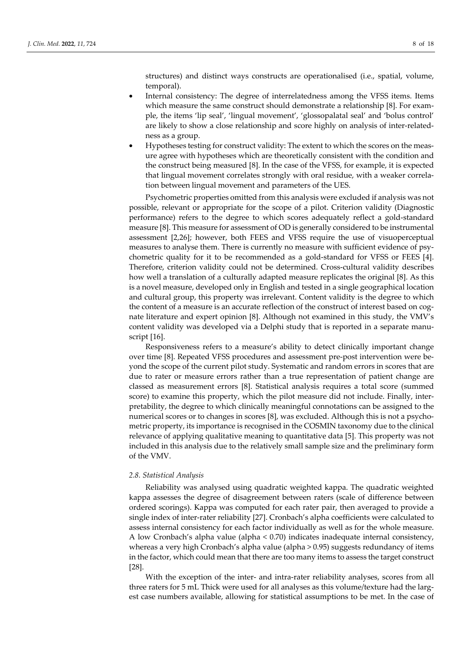structures) and distinct ways constructs are operationalised (i.e., spatial, volume, temporal).

- Internal consistency: The degree of interrelatedness among the VFSS items. Items which measure the same construct should demonstrate a relationship [8]. For example, the items 'lip seal', 'lingual movement', 'glossopalatal seal' and 'bolus control' are likely to show a close relationship and score highly on analysis of inter-relatedness as a group.
- Hypotheses testing for construct validity: The extent to which the scores on the measure agree with hypotheses which are theoretically consistent with the condition and the construct being measured [8]. In the case of the VFSS, for example, it is expected that lingual movement correlates strongly with oral residue, with a weaker correlation between lingual movement and parameters of the UES.

Psychometric properties omitted from this analysis were excluded if analysis was not possible, relevant or appropriate for the scope of a pilot. Criterion validity (Diagnostic performance) refers to the degree to which scores adequately reflect a gold-standard measure [8]. This measure for assessment of OD is generally considered to be instrumental assessment [2,26]; however, both FEES and VFSS require the use of visuoperceptual measures to analyse them. There is currently no measure with sufficient evidence of psychometric quality for it to be recommended as a gold-standard for VFSS or FEES [4]. Therefore, criterion validity could not be determined. Cross-cultural validity describes how well a translation of a culturally adapted measure replicates the original [8]. As this is a novel measure, developed only in English and tested in a single geographical location and cultural group, this property was irrelevant. Content validity is the degree to which the content of a measure is an accurate reflection of the construct of interest based on cognate literature and expert opinion [8]. Although not examined in this study, the VMV's content validity was developed via a Delphi study that is reported in a separate manuscript [16].

Responsiveness refers to a measure's ability to detect clinically important change over time [8]. Repeated VFSS procedures and assessment pre-post intervention were beyond the scope of the current pilot study. Systematic and random errors in scores that are due to rater or measure errors rather than a true representation of patient change are classed as measurement errors [8]. Statistical analysis requires a total score (summed score) to examine this property, which the pilot measure did not include. Finally, interpretability, the degree to which clinically meaningful connotations can be assigned to the numerical scores or to changes in scores [8], was excluded. Although this is not a psychometric property, its importance is recognised in the COSMIN taxonomy due to the clinical relevance of applying qualitative meaning to quantitative data [5]. This property was not included in this analysis due to the relatively small sample size and the preliminary form of the VMV.

#### *2.8. Statistical Analysis*

Reliability was analysed using quadratic weighted kappa. The quadratic weighted kappa assesses the degree of disagreement between raters (scale of difference between ordered scorings). Kappa was computed for each rater pair, then averaged to provide a single index of inter-rater reliability [27]. Cronbach's alpha coefficients were calculated to assess internal consistency for each factor individually as well as for the whole measure. A low Cronbach's alpha value (alpha < 0.70) indicates inadequate internal consistency, whereas a very high Cronbach's alpha value (alpha > 0.95) suggests redundancy of items in the factor, which could mean that there are too many items to assess the target construct [28].

With the exception of the inter- and intra-rater reliability analyses, scores from all three raters for 5 mL Thick were used for all analyses as this volume/texture had the largest case numbers available, allowing for statistical assumptions to be met. In the case of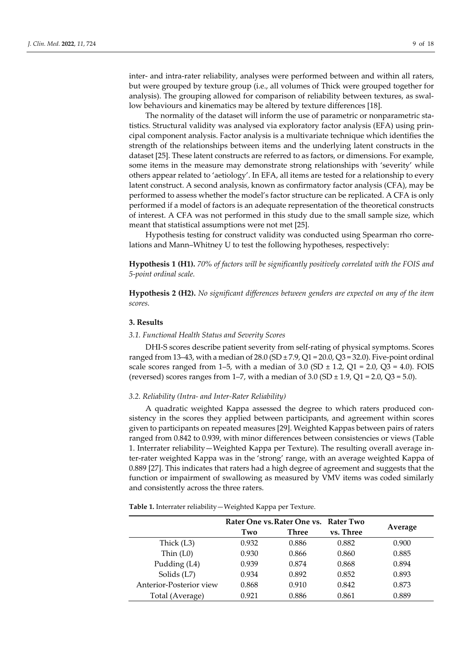inter- and intra-rater reliability, analyses were performed between and within all raters, but were grouped by texture group (i.e., all volumes of Thick were grouped together for analysis). The grouping allowed for comparison of reliability between textures, as swallow behaviours and kinematics may be altered by texture differences [18].

The normality of the dataset will inform the use of parametric or nonparametric statistics. Structural validity was analysed via exploratory factor analysis (EFA) using principal component analysis. Factor analysis is a multivariate technique which identifies the strength of the relationships between items and the underlying latent constructs in the dataset [25]. These latent constructs are referred to as factors, or dimensions. For example, some items in the measure may demonstrate strong relationships with 'severity' while others appear related to 'aetiology'. In EFA, all items are tested for a relationship to every latent construct. A second analysis, known as confirmatory factor analysis (CFA), may be performed to assess whether the model's factor structure can be replicated. A CFA is only performed if a model of factors is an adequate representation of the theoretical constructs of interest. A CFA was not performed in this study due to the small sample size, which meant that statistical assumptions were not met [25].

Hypothesis testing for construct validity was conducted using Spearman rho correlations and Mann–Whitney U to test the following hypotheses, respectively:

**Hypothesis 1 (H1).** *70% of factors will be significantly positively correlated with the FOIS and 5-point ordinal scale.* 

**Hypothesis 2 (H2).** *No significant differences between genders are expected on any of the item scores.* 

#### **3. Results**

#### *3.1. Functional Health Status and Severity Scores*

DHI-S scores describe patient severity from self-rating of physical symptoms. Scores ranged from 13–43, with a median of 28.0 (SD  $\pm$  7.9, Q1 = 20.0, Q3 = 32.0). Five-point ordinal scale scores ranged from 1–5, with a median of 3.0 (SD  $\pm$  1.2, Q1 = 2.0, Q3 = 4.0). FOIS (reversed) scores ranges from 1–7, with a median of  $3.0$  (SD  $\pm$  1.9, Q1 = 2.0, Q3 = 5.0).

## *3.2. Reliability (Intra- and Inter-Rater Reliability)*

A quadratic weighted Kappa assessed the degree to which raters produced consistency in the scores they applied between participants, and agreement within scores given to participants on repeated measures [29]. Weighted Kappas between pairs of raters ranged from 0.842 to 0.939, with minor differences between consistencies or views (Table 1. Interrater reliability—Weighted Kappa per Texture). The resulting overall average inter-rater weighted Kappa was in the 'strong' range, with an average weighted Kappa of 0.889 [27]. This indicates that raters had a high degree of agreement and suggests that the function or impairment of swallowing as measured by VMV items was coded similarly and consistently across the three raters.

**Table 1.** Interrater reliability—Weighted Kappa per Texture.

|                         |       | Rater One vs. Rater One vs. Rater Two |           |         |  |
|-------------------------|-------|---------------------------------------|-----------|---------|--|
|                         | Two   | <b>Three</b>                          | vs. Three | Average |  |
| Thick (L3)              | 0.932 | 0.886                                 | 0.882     | 0.900   |  |
| Thin $(L0)$             | 0.930 | 0.866                                 | 0.860     | 0.885   |  |
| Pudding (L4)            | 0.939 | 0.874                                 | 0.868     | 0.894   |  |
| Solids (L7)             | 0.934 | 0.892                                 | 0.852     | 0.893   |  |
| Anterior-Posterior view | 0.868 | 0.910                                 | 0.842     | 0.873   |  |
| Total (Average)         | 0.921 | 0.886                                 | 0.861     | 0.889   |  |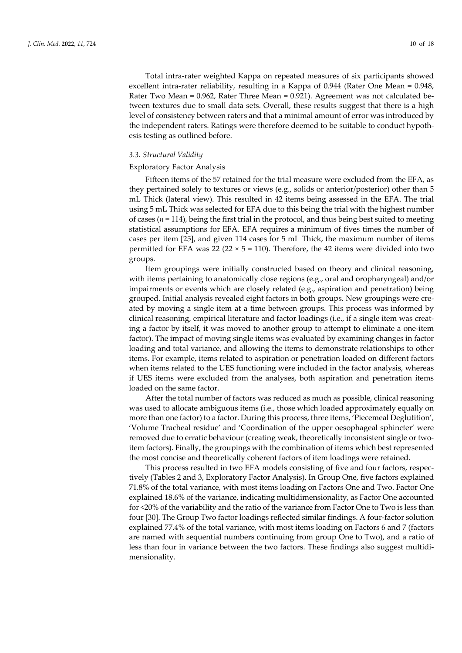Total intra-rater weighted Kappa on repeated measures of six participants showed excellent intra-rater reliability, resulting in a Kappa of 0.944 (Rater One Mean = 0.948, Rater Two Mean = 0.962, Rater Three Mean = 0.921). Agreement was not calculated between textures due to small data sets. Overall, these results suggest that there is a high level of consistency between raters and that a minimal amount of error was introduced by the independent raters. Ratings were therefore deemed to be suitable to conduct hypothesis testing as outlined before.

#### *3.3. Structural Validity*

# Exploratory Factor Analysis

Fifteen items of the 57 retained for the trial measure were excluded from the EFA, as they pertained solely to textures or views (e.g., solids or anterior/posterior) other than 5 mL Thick (lateral view). This resulted in 42 items being assessed in the EFA. The trial using 5 mL Thick was selected for EFA due to this being the trial with the highest number of cases ( $n = 114$ ), being the first trial in the protocol, and thus being best suited to meeting statistical assumptions for EFA. EFA requires a minimum of fives times the number of cases per item [25], and given 114 cases for 5 mL Thick, the maximum number of items permitted for EFA was 22 (22  $\times$  5 = 110). Therefore, the 42 items were divided into two groups.

Item groupings were initially constructed based on theory and clinical reasoning, with items pertaining to anatomically close regions (e.g., oral and oropharyngeal) and/or impairments or events which are closely related (e.g., aspiration and penetration) being grouped. Initial analysis revealed eight factors in both groups. New groupings were created by moving a single item at a time between groups. This process was informed by clinical reasoning, empirical literature and factor loadings (i.e., if a single item was creating a factor by itself, it was moved to another group to attempt to eliminate a one-item factor). The impact of moving single items was evaluated by examining changes in factor loading and total variance, and allowing the items to demonstrate relationships to other items. For example, items related to aspiration or penetration loaded on different factors when items related to the UES functioning were included in the factor analysis, whereas if UES items were excluded from the analyses, both aspiration and penetration items loaded on the same factor.

After the total number of factors was reduced as much as possible, clinical reasoning was used to allocate ambiguous items (i.e., those which loaded approximately equally on more than one factor) to a factor. During this process, three items, 'Piecemeal Deglutition', 'Volume Tracheal residue' and 'Coordination of the upper oesophageal sphincter' were removed due to erratic behaviour (creating weak, theoretically inconsistent single or twoitem factors). Finally, the groupings with the combination of items which best represented the most concise and theoretically coherent factors of item loadings were retained.

This process resulted in two EFA models consisting of five and four factors, respectively (Tables 2 and 3, Exploratory Factor Analysis). In Group One, five factors explained 71.8% of the total variance, with most items loading on Factors One and Two. Factor One explained 18.6% of the variance, indicating multidimensionality, as Factor One accounted for <20% of the variability and the ratio of the variance from Factor One to Two is less than four [30]. The Group Two factor loadings reflected similar findings. A four-factor solution explained 77.4% of the total variance, with most items loading on Factors 6 and 7 (factors are named with sequential numbers continuing from group One to Two), and a ratio of less than four in variance between the two factors. These findings also suggest multidimensionality.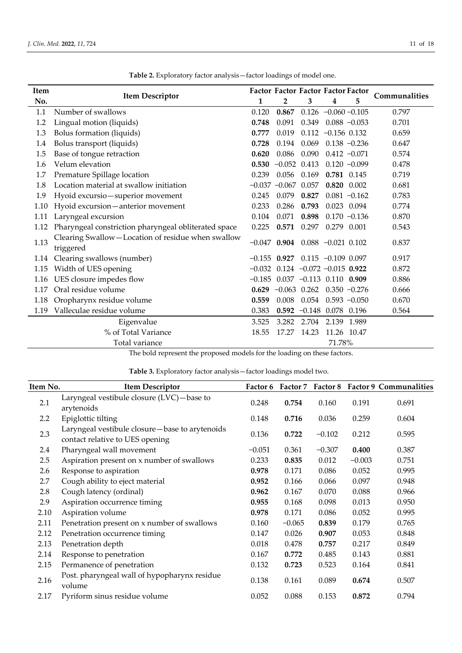| <b>Item</b> |                                                                |          | Factor Factor Factor Factor Factor |          |                                |                 |               |
|-------------|----------------------------------------------------------------|----------|------------------------------------|----------|--------------------------------|-----------------|---------------|
| No.         | <b>Item Descriptor</b>                                         | 1        | 2                                  | 3        | 4                              | 5               | Communalities |
| 1.1         | Number of swallows                                             | 0.120    | 0.867                              |          | $0.126 -0.060 -0.105$          |                 | 0.797         |
| 1.2         | Lingual motion (liquids)                                       | 0.748    | 0.091                              | 0.349    |                                | $0.088 - 0.053$ | 0.701         |
| 1.3         | Bolus formation (liquids)                                      | 0.777    | 0.019                              |          | $0.112 -0.156 0.132$           |                 | 0.659         |
| 1.4         | Bolus transport (liquids)                                      | 0.728    | 0.194                              | 0.069    |                                | $0.138 - 0.236$ | 0.647         |
| 1.5         | Base of tongue retraction                                      | 0.620    | 0.086                              | 0.090    |                                | $0.412 - 0.071$ | 0.574         |
| 1.6         | Velum elevation                                                | 0.530    | $-0.052$                           | 0.413    |                                | $0.120 - 0.099$ | 0.478         |
| 1.7         | Premature Spillage location                                    | 0.239    | 0.056                              | 0.169    | 0.781 0.145                    |                 | 0.719         |
| 1.8         | Location material at swallow initiation                        |          | $-0.037 -0.067$                    | 0.057    | $0.820$ $0.002$                |                 | 0.681         |
| 1.9         | Hyoid excursio-superior movement                               | 0.245    | 0.079                              | 0.827    |                                | $0.081 - 0.162$ | 0.783         |
| 1.10        | Hyoid excursion-anterior movement                              | 0.233    | 0.286                              | 0.793    |                                | 0.023 0.094     | 0.774         |
| 1.11        | Laryngeal excursion                                            | 0.104    | 0.071                              | 0.898    |                                | $0.170 - 0.136$ | 0.870         |
| 1.12        | Pharyngeal constriction pharyngeal obliterated space           | 0.225    | 0.571                              | 0.297    | 0.279                          | 0.001           | 0.543         |
| 1.13        | Clearing Swallow-Location of residue when swallow<br>triggered | $-0.047$ | 0.904                              |          | $0.088 - 0.021 0.102$          |                 | 0.837         |
| 1.14        | Clearing swallows (number)                                     | $-0.155$ | 0.927                              |          | $0.115 - 0.109 0.097$          |                 | 0.917         |
| 1.15        | Width of UES opening                                           | $-0.032$ |                                    |          | $0.124 -0.072 -0.015$ 0.922    |                 | 0.872         |
| 1.16        | UES closure impedes flow                                       | $-0.185$ |                                    |          | $0.037 -0.113$ $0.110$ $0.909$ |                 | 0.886         |
| 1.17        | Oral residue volume                                            | 0.629    | $-0.063$ 0.262                     |          |                                | $0.350 -0.276$  | 0.666         |
| 1.18        | Oropharynx residue volume                                      | 0.559    | 0.008                              | 0.054    |                                | $0.593 - 0.050$ | 0.670         |
| 1.19        | Valleculae residue volume                                      | 0.383    | 0.592                              | $-0.148$ | 0.078 0.196                    |                 | 0.564         |
|             | Eigenvalue                                                     | 3.525    | 3.282                              | 2.704    | 2.139 1.989                    |                 |               |
|             | % of Total Variance                                            | 18.55    | 17.27                              | 14.23    |                                | 11.26 10.47     |               |
|             | Total variance                                                 |          |                                    |          | 71.78%                         |                 |               |

**Table 2.** Exploratory factor analysis—factor loadings of model one.

The bold represent the proposed models for the loading on these factors.

**Table 3.** Exploratory factor analysis—factor loadings model two.

| Item No.<br><b>Item Descriptor</b>                                                | Factor 6 |          |          |          |                                          |
|-----------------------------------------------------------------------------------|----------|----------|----------|----------|------------------------------------------|
| Laryngeal vestibule closure (LVC)-base to<br>arytenoids                           | 0.248    | 0.754    | 0.160    | 0.191    | 0.691                                    |
| Epiglottic tilting                                                                | 0.148    | 0.716    | 0.036    | 0.259    | 0.604                                    |
| Laryngeal vestibule closure-base to arytenoids<br>contact relative to UES opening | 0.136    | 0.722    | $-0.102$ | 0.212    | 0.595                                    |
| Pharyngeal wall movement                                                          | $-0.051$ | 0.361    | $-0.307$ | 0.400    | 0.387                                    |
| Aspiration present on x number of swallows                                        | 0.233    | 0.835    | 0.012    | $-0.003$ | 0.751                                    |
| Response to aspiration                                                            | 0.978    | 0.171    | 0.086    | 0.052    | 0.995                                    |
| Cough ability to eject material                                                   | 0.952    | 0.166    | 0.066    | 0.097    | 0.948                                    |
| Cough latency (ordinal)                                                           | 0.962    | 0.167    | 0.070    | 0.088    | 0.966                                    |
| Aspiration occurrence timing                                                      | 0.955    | 0.168    | 0.098    | 0.013    | 0.950                                    |
| Aspiration volume                                                                 | 0.978    | 0.171    | 0.086    | 0.052    | 0.995                                    |
| Penetration present on x number of swallows                                       | 0.160    | $-0.065$ | 0.839    | 0.179    | 0.765                                    |
| Penetration occurrence timing                                                     | 0.147    | 0.026    | 0.907    | 0.053    | 0.848                                    |
| Penetration depth                                                                 | 0.018    | 0.478    | 0.757    | 0.217    | 0.849                                    |
| Response to penetration                                                           | 0.167    | 0.772    | 0.485    | 0.143    | 0.881                                    |
| Permanence of penetration                                                         | 0.132    | 0.723    | 0.523    | 0.164    | 0.841                                    |
| Post. pharyngeal wall of hypopharynx residue<br>volume                            | 0.138    | 0.161    | 0.089    | 0.674    | 0.507                                    |
| Pyriform sinus residue volume                                                     | 0.052    | 0.088    | 0.153    | 0.872    | 0.794                                    |
|                                                                                   |          |          |          |          | Factor 7 Factor 8 Factor 9 Communalities |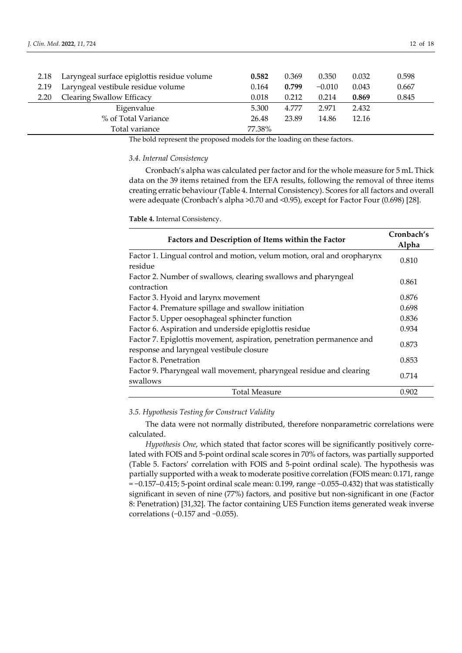| 2.18 | Laryngeal surface epiglottis residue volume | 0.582  | 0.369 | 0.350    | 0.032 | 0.598 |
|------|---------------------------------------------|--------|-------|----------|-------|-------|
| 2.19 | Laryngeal vestibule residue volume          | 0.164  | 0.799 | $-0.010$ | 0.043 | 0.667 |
| 2.20 | Clearing Swallow Efficacy                   | 0.018  | 0.212 | 0.214    | 0.869 | 0.845 |
|      | Eigenvalue                                  | 5.300  | 4.777 | 2.971    | 2.432 |       |
|      | % of Total Variance                         | 26.48  | 23.89 | 14.86    | 12.16 |       |
|      | Total variance                              | 77.38% |       |          |       |       |

The bold represent the proposed models for the loading on these factors.

#### *3.4. Internal Consistency*

Cronbach's alpha was calculated per factor and for the whole measure for 5 mL Thick data on the 39 items retained from the EFA results, following the removal of three items creating erratic behaviour (Table 4. Internal Consistency). Scores for all factors and overall were adequate (Cronbach's alpha >0.70 and <0.95), except for Factor Four (0.698) [28].

**Table 4.** Internal Consistency.

| Factors and Description of Items within the Factor                                                                | Cronbach's<br>Alpha |
|-------------------------------------------------------------------------------------------------------------------|---------------------|
| Factor 1. Lingual control and motion, velum motion, oral and oropharynx<br>residue                                | 0.810               |
| Factor 2. Number of swallows, clearing swallows and pharyngeal<br>contraction                                     | 0.861               |
| Factor 3. Hyoid and larynx movement                                                                               | 0.876               |
| Factor 4. Premature spillage and swallow initiation                                                               | 0.698               |
| Factor 5. Upper oesophageal sphincter function                                                                    | 0.836               |
| Factor 6. Aspiration and underside epiglottis residue                                                             | 0.934               |
| Factor 7. Epiglottis movement, aspiration, penetration permanence and<br>response and laryngeal vestibule closure | 0.873               |
| Factor 8. Penetration                                                                                             | 0.853               |
| Factor 9. Pharyngeal wall movement, pharyngeal residue and clearing<br>swallows                                   | 0.714               |
| <b>Total Measure</b>                                                                                              | 0.902               |

# *3.5. Hypothesis Testing for Construct Validity*

The data were not normally distributed, therefore nonparametric correlations were calculated.

*Hypothesis One*, which stated that factor scores will be significantly positively correlated with FOIS and 5-point ordinal scale scores in 70% of factors, was partially supported (Table 5. Factors' correlation with FOIS and 5-point ordinal scale). The hypothesis was partially supported with a weak to moderate positive correlation (FOIS mean: 0.171, range = −0.157–0.415; 5-point ordinal scale mean: 0.199, range −0.055–0.432) that was statistically significant in seven of nine (77%) factors, and positive but non-significant in one (Factor 8: Penetration) [31,32]. The factor containing UES Function items generated weak inverse correlations (−0.157 and −0.055).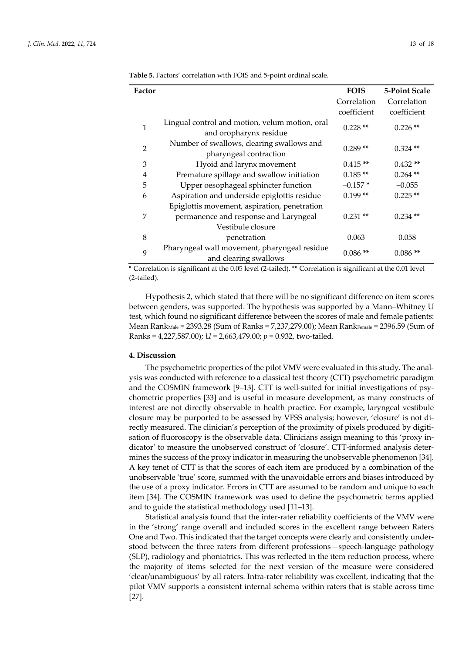| Factor         |                                                                          | <b>FOIS</b> | <b>5-Point Scale</b> |
|----------------|--------------------------------------------------------------------------|-------------|----------------------|
|                |                                                                          | Correlation | Correlation          |
|                |                                                                          | coefficient | coefficient          |
| 1              | Lingual control and motion, velum motion, oral<br>and oropharynx residue | $0.228**$   | $0.226$ **           |
| $\overline{2}$ | Number of swallows, clearing swallows and<br>pharyngeal contraction      | $0.289**$   | $0.324$ **           |
| 3              | Hyoid and larynx movement                                                | $0.415**$   | $0.432**$            |
| $\overline{4}$ | Premature spillage and swallow initiation                                | $0.185**$   | $0.264$ **           |
| 5              | Upper oesophageal sphincter function                                     | $-0.157*$   | $-0.055$             |
| 6              | Aspiration and underside epiglottis residue                              | $0.199**$   | $0.225$ **           |
|                | Epiglottis movement, aspiration, penetration                             |             |                      |
| 7              | permanence and response and Laryngeal                                    | $0.231**$   | $0.234$ **           |
|                | Vestibule closure                                                        |             |                      |
| 8              | penetration                                                              | 0.063       | 0.058                |
| 9              | Pharyngeal wall movement, pharyngeal residue<br>and clearing swallows    | $0.086**$   | $0.086**$            |

**Table 5.** Factors' correlation with FOIS and 5-point ordinal scale.

\* Correlation is significant at the 0.05 level (2-tailed). \*\* Correlation is significant at the 0.01 level (2-tailed).

Hypothesis 2, which stated that there will be no significant difference on item scores between genders, was supported. The hypothesis was supported by a Mann–Whitney U test, which found no significant difference between the scores of male and female patients: Mean RankMale = 2393.28 (Sum of Ranks = 7,237,279.00); Mean RankFemale = 2396.59 (Sum of Ranks = 4,227,587.00); *U* = 2,663,479.00; *p* = 0.932, two-tailed.

# **4. Discussion**

The psychometric properties of the pilot VMV were evaluated in this study. The analysis was conducted with reference to a classical test theory (CTT) psychometric paradigm and the COSMIN framework [9–13]. CTT is well-suited for initial investigations of psychometric properties [33] and is useful in measure development, as many constructs of interest are not directly observable in health practice. For example, laryngeal vestibule closure may be purported to be assessed by VFSS analysis; however, 'closure' is not directly measured. The clinician's perception of the proximity of pixels produced by digitisation of fluoroscopy is the observable data. Clinicians assign meaning to this 'proxy indicator' to measure the unobserved construct of 'closure'. CTT-informed analysis determines the success of the proxy indicator in measuring the unobservable phenomenon [34]. A key tenet of CTT is that the scores of each item are produced by a combination of the unobservable 'true' score, summed with the unavoidable errors and biases introduced by the use of a proxy indicator. Errors in CTT are assumed to be random and unique to each item [34]. The COSMIN framework was used to define the psychometric terms applied and to guide the statistical methodology used [11–13].

Statistical analysis found that the inter-rater reliability coefficients of the VMV were in the 'strong' range overall and included scores in the excellent range between Raters One and Two. This indicated that the target concepts were clearly and consistently understood between the three raters from different professions—speech-language pathology (SLP), radiology and phoniatrics. This was reflected in the item reduction process, where the majority of items selected for the next version of the measure were considered 'clear/unambiguous' by all raters. Intra-rater reliability was excellent, indicating that the pilot VMV supports a consistent internal schema within raters that is stable across time [27].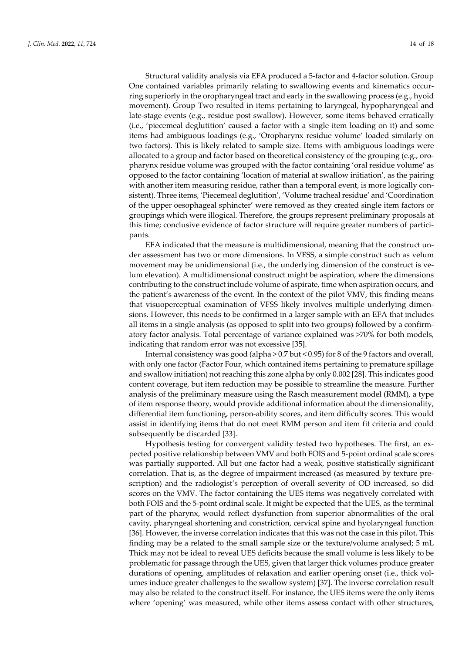Structural validity analysis via EFA produced a 5-factor and 4-factor solution. Group One contained variables primarily relating to swallowing events and kinematics occurring superiorly in the oropharyngeal tract and early in the swallowing process (e.g., hyoid movement). Group Two resulted in items pertaining to laryngeal, hypopharyngeal and late-stage events (e.g., residue post swallow). However, some items behaved erratically (i.e., 'piecemeal deglutition' caused a factor with a single item loading on it) and some items had ambiguous loadings (e.g., 'Oropharynx residue volume' loaded similarly on two factors). This is likely related to sample size. Items with ambiguous loadings were allocated to a group and factor based on theoretical consistency of the grouping (e.g., oropharynx residue volume was grouped with the factor containing 'oral residue volume' as opposed to the factor containing 'location of material at swallow initiation', as the pairing with another item measuring residue, rather than a temporal event, is more logically consistent). Three items, 'Piecemeal deglutition', 'Volume tracheal residue' and 'Coordination of the upper oesophageal sphincter' were removed as they created single item factors or groupings which were illogical. Therefore, the groups represent preliminary proposals at this time; conclusive evidence of factor structure will require greater numbers of participants.

EFA indicated that the measure is multidimensional, meaning that the construct under assessment has two or more dimensions. In VFSS, a simple construct such as velum movement may be unidimensional (i.e., the underlying dimension of the construct is velum elevation). A multidimensional construct might be aspiration, where the dimensions contributing to the construct include volume of aspirate, time when aspiration occurs, and the patient's awareness of the event. In the context of the pilot VMV, this finding means that visuoperceptual examination of VFSS likely involves multiple underlying dimensions. However, this needs to be confirmed in a larger sample with an EFA that includes all items in a single analysis (as opposed to split into two groups) followed by a confirmatory factor analysis. Total percentage of variance explained was >70% for both models, indicating that random error was not excessive [35].

Internal consistency was good (alpha > 0.7 but < 0.95) for 8 of the 9 factors and overall, with only one factor (Factor Four, which contained items pertaining to premature spillage and swallow initiation) not reaching this zone alpha by only 0.002 [28]. This indicates good content coverage, but item reduction may be possible to streamline the measure. Further analysis of the preliminary measure using the Rasch measurement model (RMM), a type of item response theory, would provide additional information about the dimensionality, differential item functioning, person-ability scores, and item difficulty scores. This would assist in identifying items that do not meet RMM person and item fit criteria and could subsequently be discarded [33].

Hypothesis testing for convergent validity tested two hypotheses. The first, an expected positive relationship between VMV and both FOIS and 5-point ordinal scale scores was partially supported. All but one factor had a weak, positive statistically significant correlation. That is, as the degree of impairment increased (as measured by texture prescription) and the radiologist's perception of overall severity of OD increased, so did scores on the VMV. The factor containing the UES items was negatively correlated with both FOIS and the 5-point ordinal scale. It might be expected that the UES, as the terminal part of the pharynx, would reflect dysfunction from superior abnormalities of the oral cavity, pharyngeal shortening and constriction, cervical spine and hyolaryngeal function [36]. However, the inverse correlation indicates that this was not the case in this pilot. This finding may be a related to the small sample size or the texture/volume analysed; 5 mL Thick may not be ideal to reveal UES deficits because the small volume is less likely to be problematic for passage through the UES, given that larger thick volumes produce greater durations of opening, amplitudes of relaxation and earlier opening onset (i.e., thick volumes induce greater challenges to the swallow system) [37]. The inverse correlation result may also be related to the construct itself. For instance, the UES items were the only items where 'opening' was measured, while other items assess contact with other structures,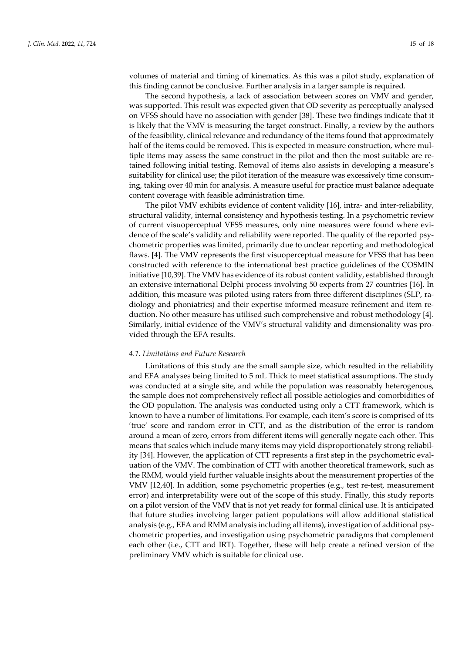volumes of material and timing of kinematics. As this was a pilot study, explanation of this finding cannot be conclusive. Further analysis in a larger sample is required.

The second hypothesis, a lack of association between scores on VMV and gender, was supported. This result was expected given that OD severity as perceptually analysed on VFSS should have no association with gender [38]. These two findings indicate that it is likely that the VMV is measuring the target construct. Finally, a review by the authors of the feasibility, clinical relevance and redundancy of the items found that approximately half of the items could be removed. This is expected in measure construction, where multiple items may assess the same construct in the pilot and then the most suitable are retained following initial testing. Removal of items also assists in developing a measure's suitability for clinical use; the pilot iteration of the measure was excessively time consuming, taking over 40 min for analysis. A measure useful for practice must balance adequate content coverage with feasible administration time.

The pilot VMV exhibits evidence of content validity [16], intra- and inter-reliability, structural validity, internal consistency and hypothesis testing. In a psychometric review of current visuoperceptual VFSS measures, only nine measures were found where evidence of the scale's validity and reliability were reported. The quality of the reported psychometric properties was limited, primarily due to unclear reporting and methodological flaws. [4]. The VMV represents the first visuoperceptual measure for VFSS that has been constructed with reference to the international best practice guidelines of the COSMIN initiative [10,39]. The VMV has evidence of its robust content validity, established through an extensive international Delphi process involving 50 experts from 27 countries [16]. In addition, this measure was piloted using raters from three different disciplines (SLP, radiology and phoniatrics) and their expertise informed measure refinement and item reduction. No other measure has utilised such comprehensive and robust methodology [4]. Similarly, initial evidence of the VMV's structural validity and dimensionality was provided through the EFA results.

## *4.1. Limitations and Future Research*

Limitations of this study are the small sample size, which resulted in the reliability and EFA analyses being limited to 5 mL Thick to meet statistical assumptions. The study was conducted at a single site, and while the population was reasonably heterogenous, the sample does not comprehensively reflect all possible aetiologies and comorbidities of the OD population. The analysis was conducted using only a CTT framework, which is known to have a number of limitations. For example, each item's score is comprised of its 'true' score and random error in CTT, and as the distribution of the error is random around a mean of zero, errors from different items will generally negate each other. This means that scales which include many items may yield disproportionately strong reliability [34]. However, the application of CTT represents a first step in the psychometric evaluation of the VMV. The combination of CTT with another theoretical framework, such as the RMM, would yield further valuable insights about the measurement properties of the VMV [12,40]. In addition, some psychometric properties (e.g., test re-test, measurement error) and interpretability were out of the scope of this study. Finally, this study reports on a pilot version of the VMV that is not yet ready for formal clinical use. It is anticipated that future studies involving larger patient populations will allow additional statistical analysis (e.g., EFA and RMM analysis including all items), investigation of additional psychometric properties, and investigation using psychometric paradigms that complement each other (i.e., CTT and IRT). Together, these will help create a refined version of the preliminary VMV which is suitable for clinical use.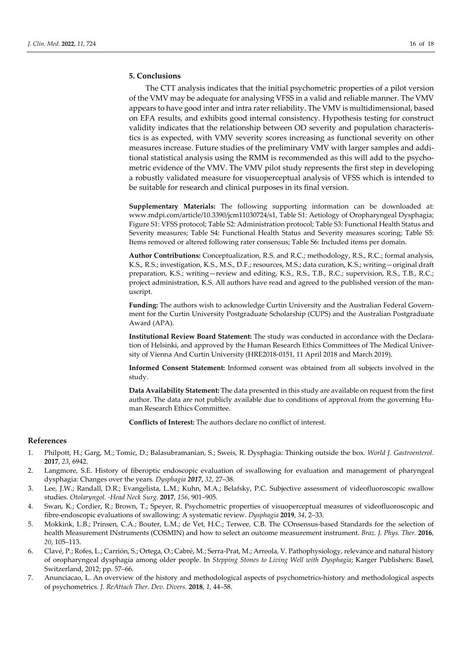## **5. Conclusions**

The CTT analysis indicates that the initial psychometric properties of a pilot version of the VMV may be adequate for analysing VFSS in a valid and reliable manner. The VMV appears to have good inter and intra rater reliability. The VMV is multidimensional, based on EFA results, and exhibits good internal consistency. Hypothesis testing for construct validity indicates that the relationship between OD severity and population characteristics is as expected, with VMV severity scores increasing as functional severity on other measures increase. Future studies of the preliminary VMV with larger samples and additional statistical analysis using the RMM is recommended as this will add to the psychometric evidence of the VMV. The VMV pilot study represents the first step in developing a robustly validated measure for visuoperceptual analysis of VFSS which is intended to be suitable for research and clinical purposes in its final version.

**Supplementary Materials:** The following supporting information can be downloaded at: www.mdpi.com/article/10.3390/jcm11030724/s1, Table S1: Aetiology of Oropharyngeal Dysphagia; Figure S1: VFSS protocol; Table S2: Administration protocol; Table S3: Functional Health Status and Severity measures; Table S4: Functional Health Status and Severity measures scoring; Table S5: Items removed or altered following rater consensus; Table S6: Included items per domain.

**Author Contributions:** Conceptualization, R.S. and R.C.; methodology, R.S., R.C.; formal analysis, K.S., R.S.; investigation, K.S., M.S., D.F.; resources, M.S.; data curation, K.S.; writing—original draft preparation, K.S.; writing—review and editing, K.S., R.S., T.B., R.C.; supervision, R.S., T.B., R.C.; project administration, K.S. All authors have read and agreed to the published version of the manuscript.

**Funding:** The authors wish to acknowledge Curtin University and the Australian Federal Government for the Curtin University Postgraduate Scholarship (CUPS) and the Australian Postgraduate Award (APA).

**Institutional Review Board Statement:** The study was conducted in accordance with the Declaration of Helsinki, and approved by the Human Research Ethics Committees of The Medical University of Vienna And Curtin University (HRE2018-0151, 11 April 2018 and March 2019).

**Informed Consent Statement:** Informed consent was obtained from all subjects involved in the study.

**Data Availability Statement:** The data presented in this study are available on request from the first author. The data are not publicly available due to conditions of approval from the governing Human Research Ethics Committee.

**Conflicts of Interest:** The authors declare no conflict of interest.

## **References**

- 1. Philpott, H.; Garg, M.; Tomic, D.; Balasubramanian, S.; Sweis, R. Dysphagia: Thinking outside the box*. World J. Gastroenterol.*  **2017**, *23*, 6942.
- 2. Langmore, S.E. History of fiberoptic endoscopic evaluation of swallowing for evaluation and management of pharyngeal dysphagia: Changes over the years*. Dysphagia 2017*, *32*, 27–38.
- 3. Lee, J.W.; Randall, D.R.; Evangelista, L.M.; Kuhn, M.A.; Belafsky, P.C. Subjective assessment of videofluoroscopic swallow studies. *Otolaryngol. -Head Neck Surg.* **2017**, *156*, 901–905.
- 4. Swan, K.; Cordier, R.; Brown, T.; Speyer, R. Psychometric properties of visuoperceptual measures of videofluoroscopic and fibre-endoscopic evaluations of swallowing: A systematic review. *Dysphagia* **2019**, *34*, 2–33.
- 5. Mokkink, L.B.; Prinsen, C.A.; Bouter, L.M.; de Vet, H.C.; Terwee, C.B. The COnsensus-based Standards for the selection of health Measurement INstruments (COSMIN) and how to select an outcome measurement instrument. *Braz. J. Phys. Ther.* **2016**, *20*, 105–113.
- 6. Clavé, P.; Rofes, L.; Carrión, S.; Ortega, O.; Cabré, M.; Serra-Prat, M.; Arreola, V. Pathophysiology, relevance and natural history of oropharyngeal dysphagia among older people. In *Stepping Stones to Living Well with Dysphagia*; Karger Publishers: Basel, Switzerland, 2012; pp. 57–66.
- 7. Anunciacao, L. An overview of the history and methodological aspects of psychometrics-history and methodological aspects of psychometrics. *J. ReAttach Ther. Dev. Divers.* **2018**, *1*, 44–58.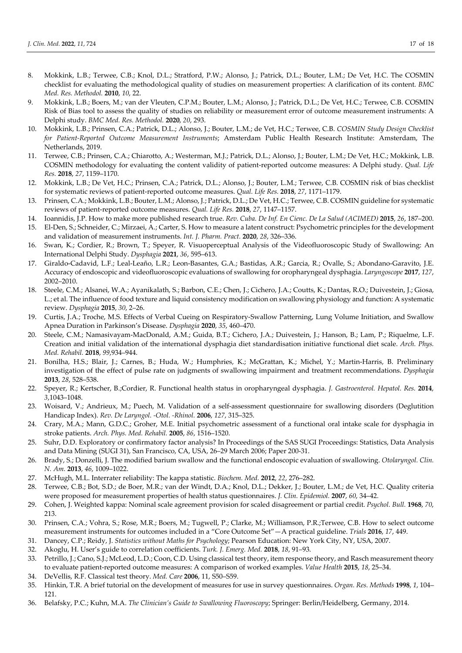- 8. Mokkink, L.B.; Terwee, C.B.; Knol, D.L.; Stratford, P.W.; Alonso, J.; Patrick, D.L.; Bouter, L.M.; De Vet, H.C. The COSMIN checklist for evaluating the methodological quality of studies on measurement properties: A clarification of its content. *BMC Med. Res. Methodol.* **2010**, *10*, 22.
- 9. Mokkink, L.B.; Boers, M.; van der Vleuten, C.P.M.; Bouter, L.M.; Alonso, J.; Patrick, D.L.; De Vet, H.C.; Terwee, C.B. COSMIN Risk of Bias tool to assess the quality of studies on reliability or measurement error of outcome measurement instruments: A Delphi study. *BMC Med. Res. Methodol.* **2020**, *20*, 293.
- 10. Mokkink, L.B.; Prinsen, C.A.; Patrick, D.L.; Alonso, J.; Bouter, L.M.; de Vet, H.C.; Terwee, C.B. *COSMIN Study Design Checklist for Patient-Reported Outcome Measurement Instruments*; Amsterdam Public Health Research Institute: Amsterdam, The Netherlands, 2019.
- 11. Terwee, C.B.; Prinsen, C.A.; Chiarotto, A.; Westerman, M.J.; Patrick, D.L.; Alonso, J.; Bouter, L.M.; De Vet, H.C.; Mokkink, L.B. COSMIN methodology for evaluating the content validity of patient-reported outcome measures: A Delphi study. *Qual. Life Res.* **2018**, *27*, 1159–1170.
- 12. Mokkink, L.B.; De Vet, H.C.; Prinsen, C.A.; Patrick, D.L.; Alonso, J.; Bouter, L.M.; Terwee, C.B. COSMIN risk of bias checklist for systematic reviews of patient-reported outcome measures. *Qual. Life Res.* **2018**, *27*, 1171–1179.
- 13. Prinsen, C.A.; Mokkink, L.B.; Bouter, L.M.; Alonso, J.; Patrick, D.L.; De Vet, H.C.; Terwee, C.B. COSMIN guideline for systematic reviews of patient-reported outcome measures. *Qual. Life Res.* **2018**, *27*, 1147–1157.
- 14. Ioannidis, J.P. How to make more published research true. *Rev. Cuba. De Inf. En Cienc. De La Salud (ACIMED)* **2015**, *26*, 187–200.
- 15. El-Den, S.; Schneider, C.; Mirzaei, A.; Carter, S. How to measure a latent construct: Psychometric principles for the development and validation of measurement instruments. *Int. J. Pharm. Pract.* **2020**, *28*, 326–336.
- 16. Swan, K.; Cordier, R.; Brown, T.; Speyer, R. Visuoperceptual Analysis of the Videofluoroscopic Study of Swallowing: An International Delphi Study. *Dysphagia* **2021**, *36*, 595–613.
- 17. Giraldo-Cadavid, L.F.; Leal-Leaño, L.R.; Leon-Basantes, G.A.; Bastidas, A.R.; Garcia, R.; Ovalle, S.; Abondano-Garavito, J.E. Accuracy of endoscopic and videofluoroscopic evaluations of swallowing for oropharyngeal dysphagia. *Laryngoscope* **2017**, *127*, 2002–2010.
- 18. Steele, C.M.; Alsanei, W.A.; Ayanikalath, S.; Barbon, C.E.; Chen, J.; Cichero, J.A.; Coutts, K.; Dantas, R.O.; Duivestein, J.; Giosa, L.; et al. The influence of food texture and liquid consistency modification on swallowing physiology and function: A systematic review. *Dysphagia* **2015**, *30*, 2–26.
- 19. Curtis, J.A.; Troche, M.S. Effects of Verbal Cueing on Respiratory-Swallow Patterning, Lung Volume Initiation, and Swallow Apnea Duration in Parkinson's Disease. *Dysphagia* **2020**, *35*, 460–470.
- 20. Steele, C.M.; Namasivayam-MacDonald, A.M.; Guida, B.T.; Cichero, J.A.; Duivestein, J.; Hanson, B.; Lam, P.; Riquelme, L.F. Creation and initial validation of the international dysphagia diet standardisation initiative functional diet scale. *Arch. Phys. Med. Rehabil.* **2018**, *99*,934–944.
- 21. Bonilha, H.S.; Blair, J.; Carnes, B.; Huda, W.; Humphries, K.; McGrattan, K.; Michel, Y.; Martin-Harris, B. Preliminary investigation of the effect of pulse rate on judgments of swallowing impairment and treatment recommendations. *Dysphagia* **2013**, *28*, 528–538.
- 22. Speyer, R.; Kertscher, B.;Cordier, R. Functional health status in oropharyngeal dysphagia. *J. Gastroenterol. Hepatol. Res.* **2014**, *3*,1043–1048.
- 23. Woisard, V.; Andrieux, M.; Puech, M. Validation of a self-assessment questionnaire for swallowing disorders (Deglutition Handicap Index). *Rev. De Laryngol. -Otol. -Rhinol.* **2006**, *127*, 315–325.
- 24. Crary, M.A.; Mann, G.D.C.; Groher, M.E. Initial psychometric assessment of a functional oral intake scale for dysphagia in stroke patients. *Arch. Phys. Med. Rehabil.* **2005**, *86*, 1516–1520.
- 25. Suhr, D.D. Exploratory or confirmatory factor analysis? In Proceedings of the SAS SUGI Proceedings: Statistics, Data Analysis and Data Mining (SUGI 31), San Francisco, CA, USA, 26–29 March 2006; Paper 200-31.
- 26. Brady, S.; Donzelli, J. The modified barium swallow and the functional endoscopic evaluation of swallowing. *Otolaryngol. Clin. N. Am.* **2013**, *46*, 1009–1022.
- 27. McHugh, M.L. Interrater reliability: The kappa statistic. *Biochem. Med.* **2012**, *22*, 276–282.
- 28. Terwee, C.B.; Bot, S.D.; de Boer, M.R.; van der Windt, D.A.; Knol, D.L.; Dekker, J.; Bouter, L.M.; de Vet, H.C. Quality criteria were proposed for measurement properties of health status questionnaires. *J. Clin. Epidemiol.* **2007**, *60*, 34–42.
- 29. Cohen, J. Weighted kappa: Nominal scale agreement provision for scaled disagreement or partial credit. *Psychol. Bull.* **1968**, *70*, 213.
- 30. Prinsen, C.A.; Vohra, S.; Rose, M.R.; Boers, M.; Tugwell, P.; Clarke, M.; Williamson, P.R.;Terwee, C.B. How to select outcome measurement instruments for outcomes included in a "Core Outcome Set"—A practical guideline. *Trials* **2016**, *17*, 449.
- 31. Dancey, C.P.; Reidy, J. *Statistics without Maths for Psychology*; Pearson Education: New York City, NY, USA, 2007.
- 32. Akoglu, H. User's guide to correlation coefficients. *Turk. J. Emerg. Med.* **2018**, *18*, 91–93.
- 33. Petrillo, J.; Cano, S.J.; McLeod, L.D.; Coon, C.D. Using classical test theory, item response theory, and Rasch measurement theory to evaluate patient-reported outcome measures: A comparison of worked examples. *Value Health* **2015**, *18*, 25–34.
- 34. DeVellis, R.F. Classical test theory. *Med. Care* **2006**, 11, S50–S59.
- 35. Hinkin, T.R. A brief tutorial on the development of measures for use in survey questionnaires. *Organ. Res. Methods* **1998**, *1*, 104– 121.
- 36. Belafsky, P.C.; Kuhn, M.A. *The Clinician's Guide to Swallowing Fluoroscopy*; Springer: Berlin/Heidelberg, Germany, 2014.